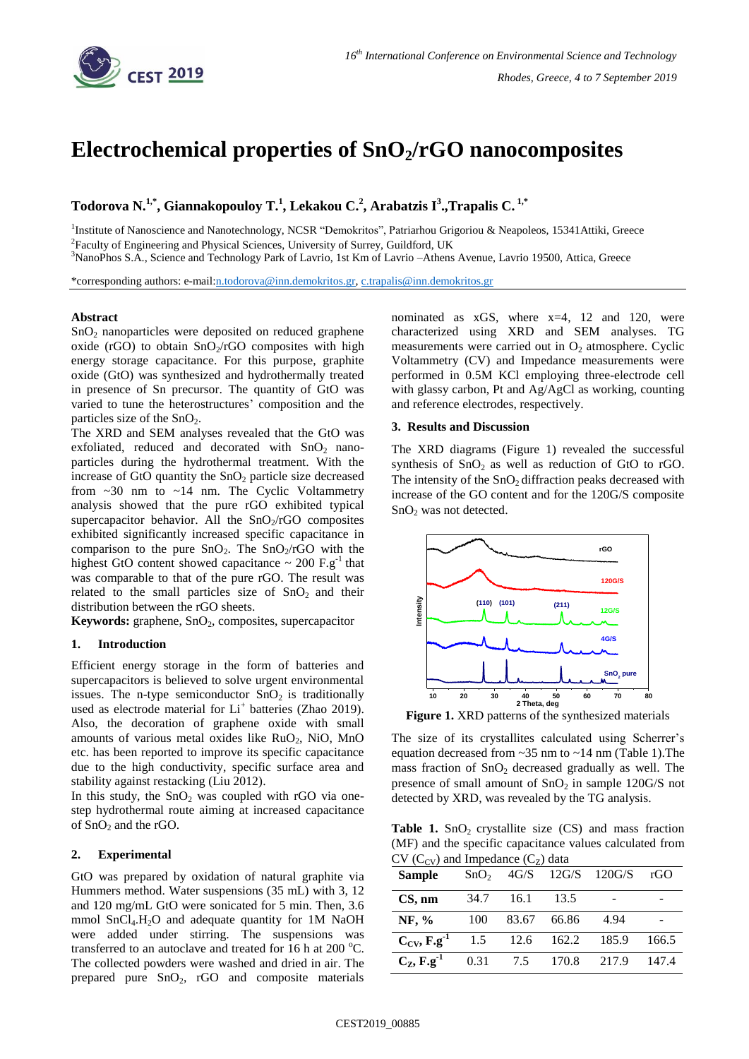

# **Electrochemical properties of SnO2/rGO nanocomposites**

# **Todorova N. 1,\* , Giannakopouloy T.<sup>1</sup> , Lekakou C.<sup>2</sup> , Arabatzis I<sup>3</sup> .,Trapalis C. 1,\***

<sup>1</sup>Institute of Nanoscience and Nanotechnology, NCSR "Demokritos", Patriarhou Grigoriou & Neapoleos, 15341Attiki, Greece <sup>2</sup> Faculty of Engineering and Physical Sciences, University of Surrey, Guildford, UK

<sup>3</sup>NanoPhos S.A., Science and Technology Park of Lavrio, 1st Km of Lavrio –Athens Avenue, Lavrio 19500, Attica, Greece

\*corresponding authors: e-mai[l:n.todorova@inn.demokritos.gr,](mailto:n.todorova@inn.demokritos.gr) [c.trapalis@inn.demokritos.gr](mailto:c.trapalis@inn.demokritos.gr)

#### **Abstract**

 $SnO<sub>2</sub>$  nanoparticles were deposited on reduced graphene oxide (rGO) to obtain  $SnO<sub>2</sub>/rGO$  composites with high energy storage capacitance. For this purpose, graphite oxide (GtO) was synthesized and hydrothermally treated in presence of Sn precursor. The quantity of GtO was varied to tune the heterostructures' composition and the particles size of the  $SnO<sub>2</sub>$ .

The XRD and SEM analyses revealed that the GtO was exfoliated, reduced and decorated with  $SnO<sub>2</sub>$  nanoparticles during the hydrothermal treatment. With the increase of GtO quantity the  $SnO<sub>2</sub>$  particle size decreased from ~30 nm to ~14 nm. The Cyclic Voltammetry analysis showed that the pure rGO exhibited typical supercapacitor behavior. All the  $SnO<sub>2</sub>/rGO$  composites exhibited significantly increased specific capacitance in comparison to the pure  $SnO<sub>2</sub>$ . The  $SnO<sub>2</sub>/rGO$  with the highest GtO content showed capacitance  $\sim 200 \text{ F} \cdot \text{g}^{-1}$  that was comparable to that of the pure rGO. The result was related to the small particles size of  $SnO<sub>2</sub>$  and their distribution between the rGO sheets.

**Keywords:** graphene, SnO<sub>2</sub>, composites, supercapacitor

# **1. Introduction**

Efficient energy storage in the form of batteries and supercapacitors is believed to solve urgent environmental issues. The n-type semiconductor  $SnO<sub>2</sub>$  is traditionally used as electrode material for Li<sup>+</sup> batteries (Zhao 2019). Also, the decoration of graphene oxide with small amounts of various metal oxides like RuO<sub>2</sub>, NiO, MnO etc. has been reported to improve its specific capacitance due to the high conductivity, specific surface area and stability against restacking (Liu 2012).

In this study, the  $SnO<sub>2</sub>$  was coupled with rGO via onestep hydrothermal route aiming at increased capacitance of  $SnO<sub>2</sub>$  and the rGO.

### **2. Experimental**

GtO was prepared by oxidation of natural graphite via Hummers method. Water suspensions (35 mL) with 3, 12 and 120 mg/mL GtO were sonicated for 5 min. Then, 3.6 mmol  $SnCl<sub>4</sub>H<sub>2</sub>O$  and adequate quantity for 1M NaOH were added under stirring. The suspensions was transferred to an autoclave and treated for 16 h at 200  $^{\circ}$ C. The collected powders were washed and dried in air. The prepared pure SnO<sub>2</sub>, rGO and composite materials nominated as xGS, where x=4, 12 and 120, were characterized using XRD and SEM analyses. TG measurements were carried out in  $O_2$  atmosphere. Cyclic Voltammetry (CV) and Impedance measurements were performed in 0.5M KCl employing three-electrode cell with glassy carbon, Pt and Ag/AgCl as working, counting and reference electrodes, respectively.

#### **3. Results and Discussion**

The XRD diagrams (Figure 1) revealed the successful synthesis of  $SnO<sub>2</sub>$  as well as reduction of GtO to rGO. The intensity of the  $SnO<sub>2</sub>$  diffraction peaks decreased with increase of the GO content and for the 120G/S composite SnO<sup>2</sup> was not detected.



**Figure 1.** XRD patterns of the synthesized materials

The size of its crystallites calculated using Scherrer's equation decreased from ~35 nm to ~14 nm (Table 1).The mass fraction of  $SnO<sub>2</sub>$  decreased gradually as well. The presence of small amount of  $SnO<sub>2</sub>$  in sample 120G/S not detected by XRD, was revealed by the TG analysis.

**Table 1.**  $SnO<sub>2</sub>$  crystallite size (CS) and mass fraction (MF) and the specific capacitance values calculated from  $CV(C_{CV})$  and Impedance  $(C_{Z})$  data

| <b>Sample</b>               | SnO <sub>2</sub> |       |       | $4G/S$ 12G/S 120G/S | rG    |
|-----------------------------|------------------|-------|-------|---------------------|-------|
| $CS$ , nm                   | 34.7             | 16.1  | 13.5  |                     |       |
| NF, $%$                     | 100              | 83.67 | 66.86 | 4.94                |       |
| $C_{CV}$ , $F.g^{-1}$       | 1.5              | 12.6  | 162.2 | 185.9               | 166.5 |
| $C_{Z}$ , F.g <sup>-1</sup> | 0.31             | 7.5   | 170.8 | 217.9               | 147.4 |